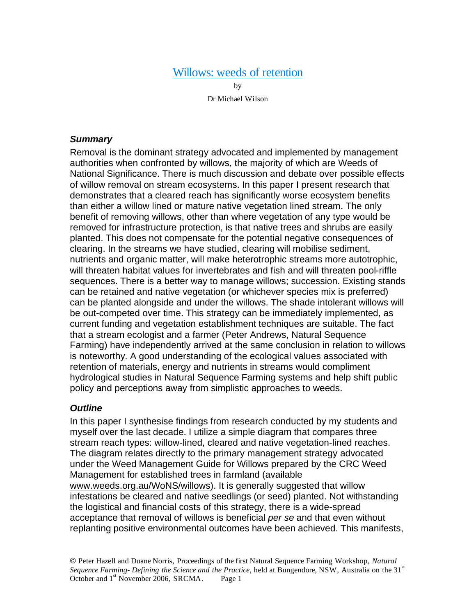# Willows: weeds of retention

by Dr Michael Wilson

#### *Summary*

Removal is the dominant strategy advocated and implemented by management authorities when confronted by willows, the majority of which are Weeds of National Significance. There is much discussion and debate over possible effects of willow removal on stream ecosystems. In this paper I present research that demonstrates that a cleared reach has significantly worse ecosystem benefits than either a willow lined or mature native vegetation lined stream. The only benefit of removing willows, other than where vegetation of any type would be removed for infrastructure protection, is that native trees and shrubs are easily planted. This does not compensate for the potential negative consequences of clearing. In the streams we have studied, clearing will mobilise sediment, nutrients and organic matter, will make heterotrophic streams more autotrophic, will threaten habitat values for invertebrates and fish and will threaten pool-riffle sequences. There is a better way to manage willows; succession. Existing stands can be retained and native vegetation (or whichever species mix is preferred) can be planted alongside and under the willows. The shade intolerant willows will be out-competed over time. This strategy can be immediately implemented, as current funding and vegetation establishment techniques are suitable. The fact that a stream ecologist and a farmer (Peter Andrews, Natural Sequence Farming) have independently arrived at the same conclusion in relation to willows is noteworthy. A good understanding of the ecological values associated with retention of materials, energy and nutrients in streams would compliment hydrological studies in Natural Sequence Farming systems and help shift public policy and perceptions away from simplistic approaches to weeds.

#### *Outline*

In this paper I synthesise findings from research conducted by my students and myself over the last decade. I utilize a simple diagram that compares three stream reach types: willow-lined, cleared and native vegetation-lined reaches. The diagram relates directly to the primary management strategy advocated under the Weed Management Guide for Willows prepared by the CRC Weed Management for established trees in farmland (available www.weeds.org.au/WoNS/willows). It is generally suggested that willow infestations be cleared and native seedlings (or seed) planted. Not withstanding the logistical and financial costs of this strategy, there is a wide-spread acceptance that removal of willows is beneficial *per se* and that even without replanting positive environmental outcomes have been achieved. This manifests,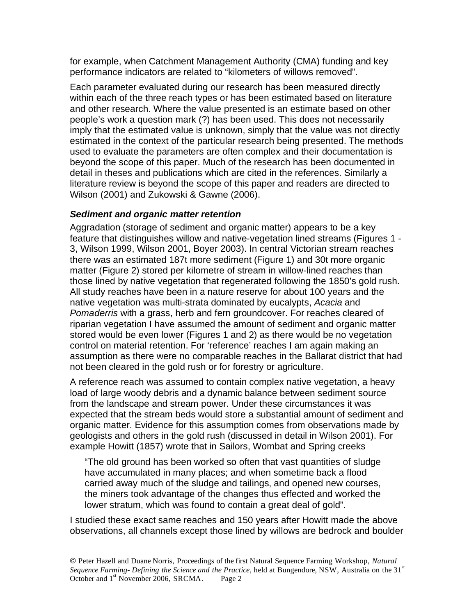for example, when Catchment Management Authority (CMA) funding and key performance indicators are related to "kilometers of willows removed".

Each parameter evaluated during our research has been measured directly within each of the three reach types or has been estimated based on literature and other research. Where the value presented is an estimate based on other people's work a question mark (?) has been used. This does not necessarily imply that the estimated value is unknown, simply that the value was not directly estimated in the context of the particular research being presented. The methods used to evaluate the parameters are often complex and their documentation is beyond the scope of this paper. Much of the research has been documented in detail in theses and publications which are cited in the references. Similarly a literature review is beyond the scope of this paper and readers are directed to Wilson (2001) and Zukowski & Gawne (2006).

### *Sediment and organic matter retention*

Aggradation (storage of sediment and organic matter) appears to be a key feature that distinguishes willow and native-vegetation lined streams (Figures 1 - 3, Wilson 1999, Wilson 2001, Boyer 2003). In central Victorian stream reaches there was an estimated 187t more sediment (Figure 1) and 30t more organic matter (Figure 2) stored per kilometre of stream in willow-lined reaches than those lined by native vegetation that regenerated following the 1850's gold rush. All study reaches have been in a nature reserve for about 100 years and the native vegetation was multi-strata dominated by eucalypts, *Acacia* and *Pomaderris* with a grass, herb and fern groundcover. For reaches cleared of riparian vegetation I have assumed the amount of sediment and organic matter stored would be even lower (Figures 1 and 2) as there would be no vegetation control on material retention. For 'reference' reaches I am again making an assumption as there were no comparable reaches in the Ballarat district that had not been cleared in the gold rush or for forestry or agriculture.

A reference reach was assumed to contain complex native vegetation, a heavy load of large woody debris and a dynamic balance between sediment source from the landscape and stream power. Under these circumstances it was expected that the stream beds would store a substantial amount of sediment and organic matter. Evidence for this assumption comes from observations made by geologists and others in the gold rush (discussed in detail in Wilson 2001). For example Howitt (1857) wrote that in Sailors, Wombat and Spring creeks

"The old ground has been worked so often that vast quantities of sludge have accumulated in many places; and when sometime back a flood carried away much of the sludge and tailings, and opened new courses, the miners took advantage of the changes thus effected and worked the lower stratum, which was found to contain a great deal of gold".

I studied these exact same reaches and 150 years after Howitt made the above observations, all channels except those lined by willows are bedrock and boulder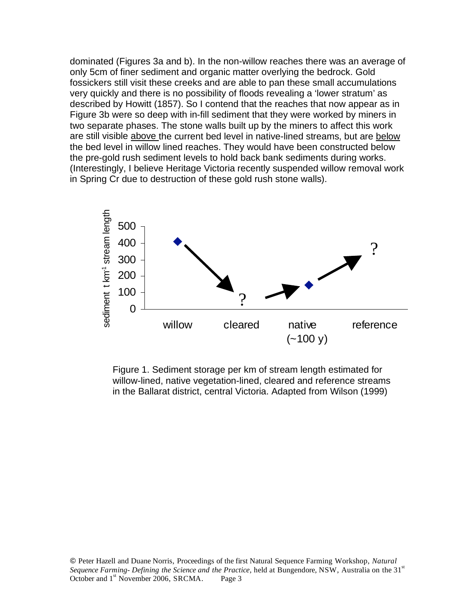dominated (Figures 3a and b). In the non-willow reaches there was an average of only 5cm of finer sediment and organic matter overlying the bedrock. Gold fossickers still visit these creeks and are able to pan these small accumulations very quickly and there is no possibility of floods revealing a 'lower stratum' as described by Howitt (1857). So I contend that the reaches that now appear as in Figure 3b were so deep with in-fill sediment that they were worked by miners in two separate phases. The stone walls built up by the miners to affect this work are still visible above the current bed level in native-lined streams, but are below the bed level in willow lined reaches. They would have been constructed below the pre-gold rush sediment levels to hold back bank sediments during works. (Interestingly, I believe Heritage Victoria recently suspended willow removal work in Spring Cr due to destruction of these gold rush stone walls).



Figure 1. Sediment storage per km of stream length estimated for willow-lined, native vegetation-lined, cleared and reference streams in the Ballarat district, central Victoria. Adapted from Wilson (1999)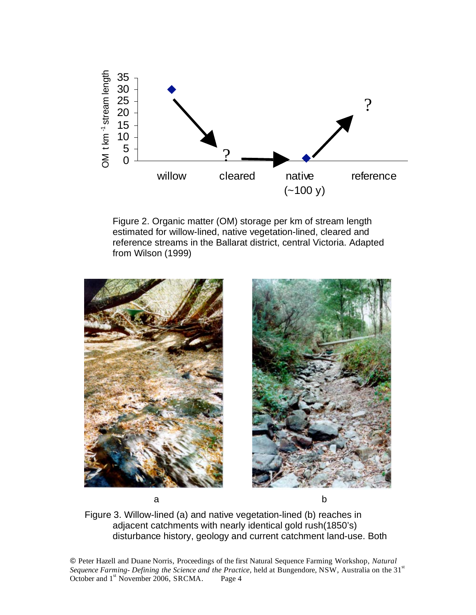

Figure 2. Organic matter (OM) storage per km of stream length estimated for willow-lined, native vegetation-lined, cleared and reference streams in the Ballarat district, central Victoria. Adapted from Wilson (1999)





Figure 3. Willow-lined (a) and native vegetation-lined (b) reaches in adjacent catchments with nearly identical gold rush(1850's) disturbance history, geology and current catchment land-use. Both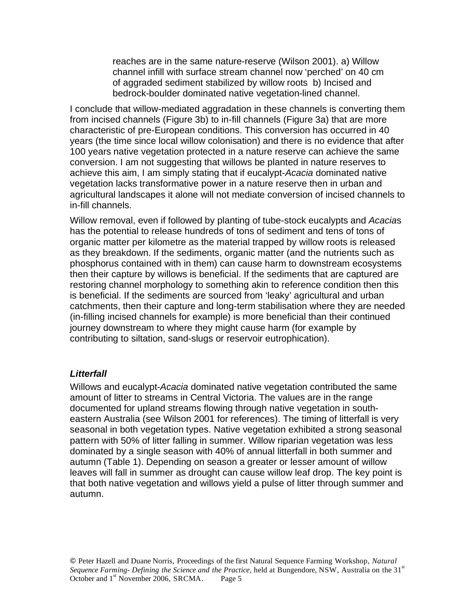reaches are in the same nature-reserve (Wilson 2001). a) Willow channel infill with surface stream channel now 'perched' on 40 cm of aggraded sediment stabilized by willow roots b) Incised and bedrock-boulder dominated native vegetation-lined channel.

I conclude that willow-mediated aggradation in these channels is converting them from incised channels (Figure 3b) to in-fill channels (Figure 3a) that are more characteristic of pre-European conditions. This conversion has occurred in 40 years (the time since local willow colonisation) and there is no evidence that after 100 years native vegetation protected in a nature reserve can achieve the same conversion. I am not suggesting that willows be planted in nature reserves to achieve this aim, I am simply stating that if eucalypt-*Acacia* dominated native vegetation lacks transformative power in a nature reserve then in urban and agricultural landscapes it alone will not mediate conversion of incised channels to in-fill channels.

Willow removal, even if followed by planting of tube-stock eucalypts and *Acacia*s has the potential to release hundreds of tons of sediment and tens of tons of organic matter per kilometre as the material trapped by willow roots is released as they breakdown. If the sediments, organic matter (and the nutrients such as phosphorus contained with in them) can cause harm to downstream ecosystems then their capture by willows is beneficial. If the sediments that are captured are restoring channel morphology to something akin to reference condition then this is beneficial. If the sediments are sourced from 'leaky' agricultural and urban catchments, then their capture and long-term stabilisation where they are needed (in-filling incised channels for example) is more beneficial than their continued journey downstream to where they might cause harm (for example by contributing to siltation, sand-slugs or reservoir eutrophication).

#### *Litterfall*

Willows and eucalypt-*Acacia* dominated native vegetation contributed the same amount of litter to streams in Central Victoria. The values are in the range documented for upland streams flowing through native vegetation in southeastern Australia (see Wilson 2001 for references). The timing of litterfall is very seasonal in both vegetation types. Native vegetation exhibited a strong seasonal pattern with 50% of litter falling in summer. Willow riparian vegetation was less dominated by a single season with 40% of annual litterfall in both summer and autumn (Table 1). Depending on season a greater or lesser amount of willow leaves will fall in summer as drought can cause willow leaf drop. The key point is that both native vegetation and willows yield a pulse of litter through summer and autumn.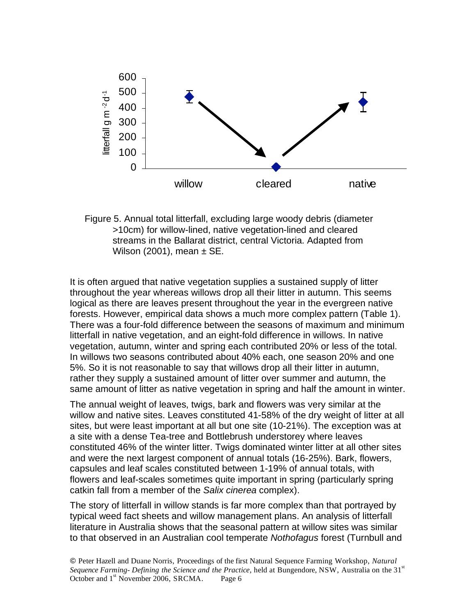

Figure 5. Annual total litterfall, excluding large woody debris (diameter >10cm) for willow-lined, native vegetation-lined and cleared streams in the Ballarat district, central Victoria. Adapted from Wilson (2001), mean  $\pm$  SE.

It is often argued that native vegetation supplies a sustained supply of litter throughout the year whereas willows drop all their litter in autumn. This seems logical as there are leaves present throughout the year in the evergreen native forests. However, empirical data shows a much more complex pattern (Table 1). There was a four-fold difference between the seasons of maximum and minimum litterfall in native vegetation, and an eight-fold difference in willows. In native vegetation, autumn, winter and spring each contributed 20% or less of the total. In willows two seasons contributed about 40% each, one season 20% and one 5%. So it is not reasonable to say that willows drop all their litter in autumn, rather they supply a sustained amount of litter over summer and autumn, the same amount of litter as native vegetation in spring and half the amount in winter.

The annual weight of leaves, twigs, bark and flowers was very similar at the willow and native sites. Leaves constituted 41-58% of the dry weight of litter at all sites, but were least important at all but one site (10-21%). The exception was at a site with a dense Tea-tree and Bottlebrush understorey where leaves constituted 46% of the winter litter. Twigs dominated winter litter at all other sites and were the next largest component of annual totals (16-25%). Bark, flowers, capsules and leaf scales constituted between 1-19% of annual totals, with flowers and leaf-scales sometimes quite important in spring (particularly spring catkin fall from a member of the *Salix cinerea* complex).

The story of litterfall in willow stands is far more complex than that portrayed by typical weed fact sheets and willow management plans. An analysis of litterfall literature in Australia shows that the seasonal pattern at willow sites was similar to that observed in an Australian cool temperate *Nothofagus* forest (Turnbull and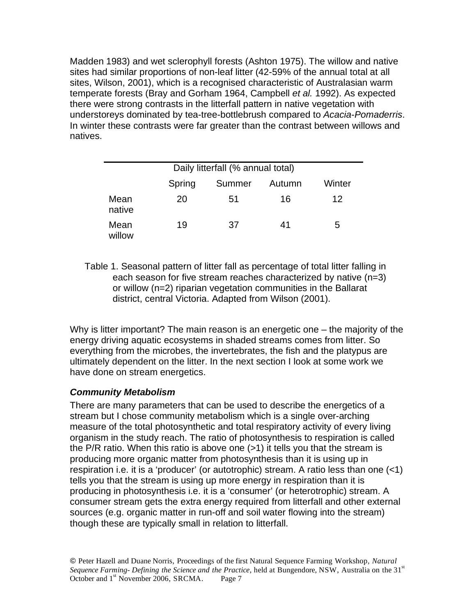Madden 1983) and wet sclerophyll forests (Ashton 1975). The willow and native sites had similar proportions of non-leaf litter (42-59% of the annual total at all sites, Wilson, 2001), which is a recognised characteristic of Australasian warm temperate forests (Bray and Gorham 1964, Campbell *et al.* 1992). As expected there were strong contrasts in the litterfall pattern in native vegetation with understoreys dominated by tea-tree-bottlebrush compared to *Acacia*-*Pomaderris*. In winter these contrasts were far greater than the contrast between willows and natives.

|                | Daily litterfall (% annual total) |        |        |        |
|----------------|-----------------------------------|--------|--------|--------|
|                | Spring                            | Summer | Autumn | Winter |
| Mean<br>native | 20                                | 51     | 16     | 12     |
| Mean<br>willow | 19                                | 37     | 41     | 5      |

Table 1. Seasonal pattern of litter fall as percentage of total litter falling in each season for five stream reaches characterized by native (n=3) or willow (n=2) riparian vegetation communities in the Ballarat district, central Victoria. Adapted from Wilson (2001).

Why is litter important? The main reason is an energetic one – the majority of the energy driving aquatic ecosystems in shaded streams comes from litter. So everything from the microbes, the invertebrates, the fish and the platypus are ultimately dependent on the litter. In the next section I look at some work we have done on stream energetics.

# *Community Metabolism*

There are many parameters that can be used to describe the energetics of a stream but I chose community metabolism which is a single over-arching measure of the total photosynthetic and total respiratory activity of every living organism in the study reach. The ratio of photosynthesis to respiration is called the P/R ratio. When this ratio is above one (>1) it tells you that the stream is producing more organic matter from photosynthesis than it is using up in respiration i.e. it is a 'producer' (or autotrophic) stream. A ratio less than one (<1) tells you that the stream is using up more energy in respiration than it is producing in photosynthesis i.e. it is a 'consumer' (or heterotrophic) stream. A consumer stream gets the extra energy required from litterfall and other external sources (e.g. organic matter in run-off and soil water flowing into the stream) though these are typically small in relation to litterfall.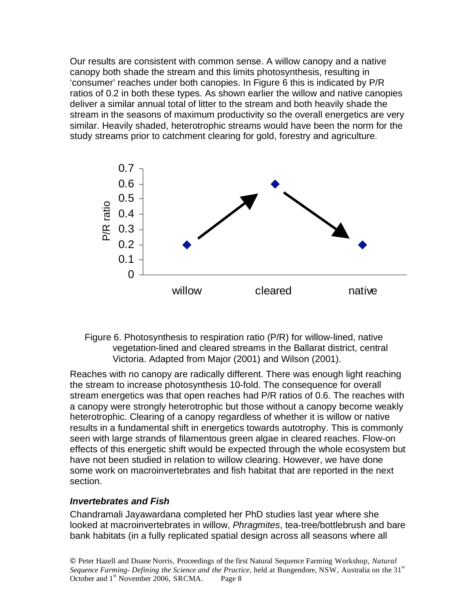Our results are consistent with common sense. A willow canopy and a native canopy both shade the stream and this limits photosynthesis, resulting in 'consumer' reaches under both canopies. In Figure 6 this is indicated by P/R ratios of 0.2 in both these types. As shown earlier the willow and native canopies deliver a similar annual total of litter to the stream and both heavily shade the stream in the seasons of maximum productivity so the overall energetics are very similar. Heavily shaded, heterotrophic streams would have been the norm for the study streams prior to catchment clearing for gold, forestry and agriculture.



### Figure 6. Photosynthesis to respiration ratio (P/R) for willow-lined, native vegetation-lined and cleared streams in the Ballarat district, central Victoria. Adapted from Major (2001) and Wilson (2001).

Reaches with no canopy are radically different. There was enough light reaching the stream to increase photosynthesis 10-fold. The consequence for overall stream energetics was that open reaches had P/R ratios of 0.6. The reaches with a canopy were strongly heterotrophic but those without a canopy become weakly heterotrophic. Clearing of a canopy regardless of whether it is willow or native results in a fundamental shift in energetics towards autotrophy. This is commonly seen with large strands of filamentous green algae in cleared reaches. Flow-on effects of this energetic shift would be expected through the whole ecosystem but have not been studied in relation to willow clearing. However, we have done some work on macroinvertebrates and fish habitat that are reported in the next section.

#### *Invertebrates and Fish*

Chandramali Jayawardana completed her PhD studies last year where she looked at macroinvertebrates in willow, *Phragmites*, tea-tree/bottlebrush and bare bank habitats (in a fully replicated spatial design across all seasons where all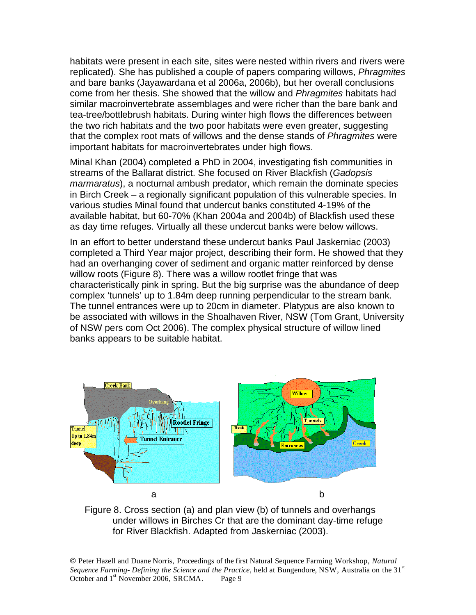habitats were present in each site, sites were nested within rivers and rivers were replicated). She has published a couple of papers comparing willows, *Phragmites*  and bare banks (Jayawardana et al 2006a, 2006b), but her overall conclusions come from her thesis. She showed that the willow and *Phragmites* habitats had similar macroinvertebrate assemblages and were richer than the bare bank and tea-tree/bottlebrush habitats. During winter high flows the differences between the two rich habitats and the two poor habitats were even greater, suggesting that the complex root mats of willows and the dense stands of *Phragmites* were important habitats for macroinvertebrates under high flows.

Minal Khan (2004) completed a PhD in 2004, investigating fish communities in streams of the Ballarat district. She focused on River Blackfish (*Gadopsis marmaratus*), a nocturnal ambush predator, which remain the dominate species in Birch Creek – a regionally significant population of this vulnerable species. In various studies Minal found that undercut banks constituted 4-19% of the available habitat, but 60-70% (Khan 2004a and 2004b) of Blackfish used these as day time refuges. Virtually all these undercut banks were below willows.

In an effort to better understand these undercut banks Paul Jaskerniac (2003) completed a Third Year major project, describing their form. He showed that they had an overhanging cover of sediment and organic matter reinforced by dense willow roots (Figure 8). There was a willow rootlet fringe that was characteristically pink in spring. But the big surprise was the abundance of deep complex 'tunnels' up to 1.84m deep running perpendicular to the stream bank. The tunnel entrances were up to 20cm in diameter. Platypus are also known to be associated with willows in the Shoalhaven River, NSW (Tom Grant, University of NSW pers com Oct 2006). The complex physical structure of willow lined banks appears to be suitable habitat.



Figure 8. Cross section (a) and plan view (b) of tunnels and overhangs under willows in Birches Cr that are the dominant day-time refuge for River Blackfish. Adapted from Jaskerniac (2003).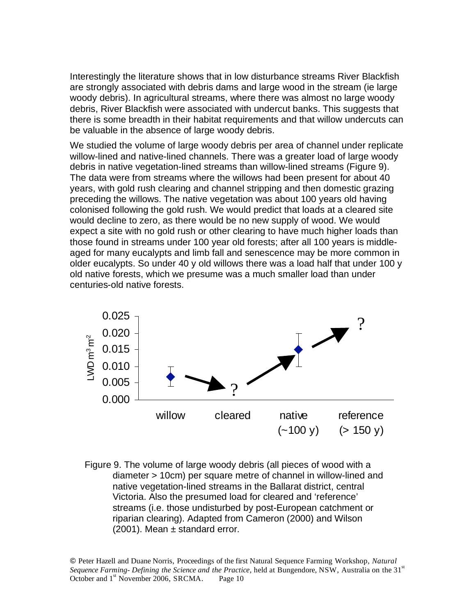Interestingly the literature shows that in low disturbance streams River Blackfish are strongly associated with debris dams and large wood in the stream (ie large woody debris). In agricultural streams, where there was almost no large woody debris, River Blackfish were associated with undercut banks. This suggests that there is some breadth in their habitat requirements and that willow undercuts can be valuable in the absence of large woody debris.

We studied the volume of large woody debris per area of channel under replicate willow-lined and native-lined channels. There was a greater load of large woody debris in native vegetation-lined streams than willow-lined streams (Figure 9). The data were from streams where the willows had been present for about 40 years, with gold rush clearing and channel stripping and then domestic grazing preceding the willows. The native vegetation was about 100 years old having colonised following the gold rush. We would predict that loads at a cleared site would decline to zero, as there would be no new supply of wood. We would expect a site with no gold rush or other clearing to have much higher loads than those found in streams under 100 year old forests; after all 100 years is middleaged for many eucalypts and limb fall and senescence may be more common in older eucalypts. So under 40 y old willows there was a load half that under 100 y old native forests, which we presume was a much smaller load than under centuries-old native forests.



Figure 9. The volume of large woody debris (all pieces of wood with a diameter > 10cm) per square metre of channel in willow-lined and native vegetation-lined streams in the Ballarat district, central Victoria. Also the presumed load for cleared and 'reference' streams (i.e. those undisturbed by post-European catchment or riparian clearing). Adapted from Cameron (2000) and Wilson  $(2001)$ . Mean  $\pm$  standard error.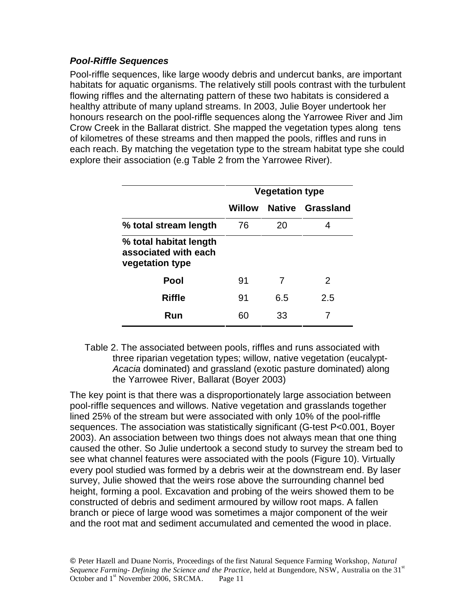## *Pool-Riffle Sequences*

Pool-riffle sequences, like large woody debris and undercut banks, are important habitats for aquatic organisms. The relatively still pools contrast with the turbulent flowing riffles and the alternating pattern of these two habitats is considered a healthy attribute of many upland streams. In 2003, Julie Boyer undertook her honours research on the pool-riffle sequences along the Yarrowee River and Jim Crow Creek in the Ballarat district. She mapped the vegetation types along tens of kilometres of these streams and then mapped the pools, riffles and runs in each reach. By matching the vegetation type to the stream habitat type she could explore their association (e.g Table 2 from the Yarrowee River).

|                                                                   | <b>Vegetation type</b> |     |                  |
|-------------------------------------------------------------------|------------------------|-----|------------------|
|                                                                   | Willow                 |     | Native Grassland |
| % total stream length                                             | 76                     | 20  | 4                |
| % total habitat length<br>associated with each<br>vegetation type |                        |     |                  |
| Pool                                                              | 91                     | 7   | $\mathcal{P}$    |
| <b>Riffle</b>                                                     | 91                     | 6.5 | 2.5              |
| Run                                                               | 60                     | 33  |                  |

Table 2. The associated between pools, riffles and runs associated with three riparian vegetation types; willow, native vegetation (eucalypt-*Acacia* dominated) and grassland (exotic pasture dominated) along the Yarrowee River, Ballarat (Boyer 2003)

The key point is that there was a disproportionately large association between pool-riffle sequences and willows. Native vegetation and grasslands together lined 25% of the stream but were associated with only 10% of the pool-riffle sequences. The association was statistically significant (G-test P<0.001, Boyer 2003). An association between two things does not always mean that one thing caused the other. So Julie undertook a second study to survey the stream bed to see what channel features were associated with the pools (Figure 10). Virtually every pool studied was formed by a debris weir at the downstream end. By laser survey, Julie showed that the weirs rose above the surrounding channel bed height, forming a pool. Excavation and probing of the weirs showed them to be constructed of debris and sediment armoured by willow root maps. A fallen branch or piece of large wood was sometimes a major component of the weir and the root mat and sediment accumulated and cemented the wood in place.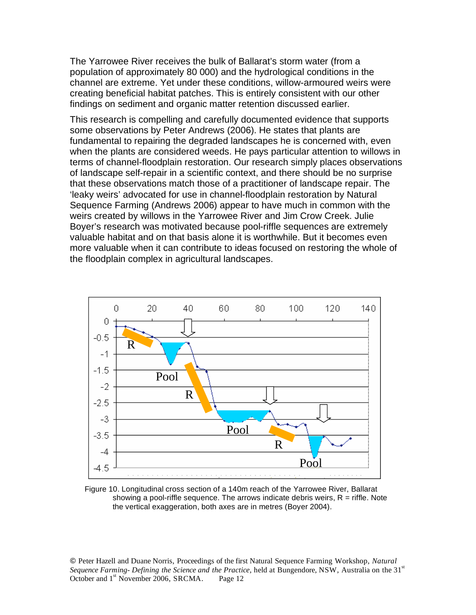The Yarrowee River receives the bulk of Ballarat's storm water (from a population of approximately 80 000) and the hydrological conditions in the channel are extreme. Yet under these conditions, willow-armoured weirs were creating beneficial habitat patches. This is entirely consistent with our other findings on sediment and organic matter retention discussed earlier.

This research is compelling and carefully documented evidence that supports some observations by Peter Andrews (2006). He states that plants are fundamental to repairing the degraded landscapes he is concerned with, even when the plants are considered weeds. He pays particular attention to willows in terms of channel-floodplain restoration. Our research simply places observations of landscape self-repair in a scientific context, and there should be no surprise that these observations match those of a practitioner of landscape repair. The 'leaky weirs' advocated for use in channel-floodplain restoration by Natural Sequence Farming (Andrews 2006) appear to have much in common with the weirs created by willows in the Yarrowee River and Jim Crow Creek. Julie Boyer's research was motivated because pool-riffle sequences are extremely valuable habitat and on that basis alone it is worthwhile. But it becomes even more valuable when it can contribute to ideas focused on restoring the whole of the floodplain complex in agricultural landscapes.



Figure 10. Longitudinal cross section of a 140m reach of the Yarrowee River, Ballarat showing a pool-riffle sequence. The arrows indicate debris weirs,  $R =$  riffle. Note the vertical exaggeration, both axes are in metres (Boyer 2004).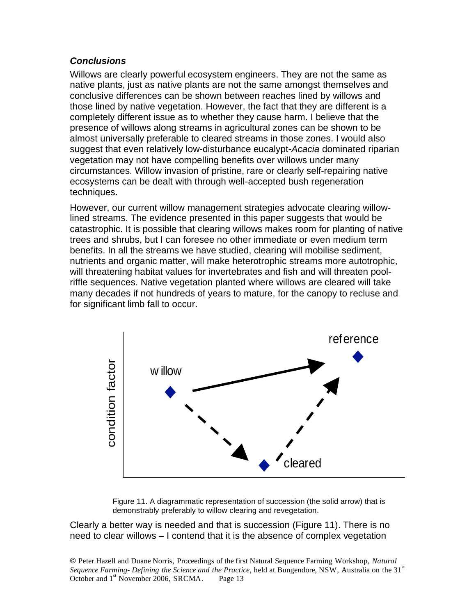### *Conclusions*

Willows are clearly powerful ecosystem engineers. They are not the same as native plants, just as native plants are not the same amongst themselves and conclusive differences can be shown between reaches lined by willows and those lined by native vegetation. However, the fact that they are different is a completely different issue as to whether they cause harm. I believe that the presence of willows along streams in agricultural zones can be shown to be almost universally preferable to cleared streams in those zones. I would also suggest that even relatively low-disturbance eucalypt-*Acacia* dominated riparian vegetation may not have compelling benefits over willows under many circumstances. Willow invasion of pristine, rare or clearly self-repairing native ecosystems can be dealt with through well-accepted bush regeneration techniques.

However, our current willow management strategies advocate clearing willowlined streams. The evidence presented in this paper suggests that would be catastrophic. It is possible that clearing willows makes room for planting of native trees and shrubs, but I can foresee no other immediate or even medium term benefits. In all the streams we have studied, clearing will mobilise sediment, nutrients and organic matter, will make heterotrophic streams more autotrophic, will threatening habitat values for invertebrates and fish and will threaten poolriffle sequences. Native vegetation planted where willows are cleared will take many decades if not hundreds of years to mature, for the canopy to recluse and for significant limb fall to occur.



Figure 11. A diagrammatic representation of succession (the solid arrow) that is demonstrably preferably to willow clearing and revegetation.

Clearly a better way is needed and that is succession (Figure 11). There is no need to clear willows – I contend that it is the absence of complex vegetation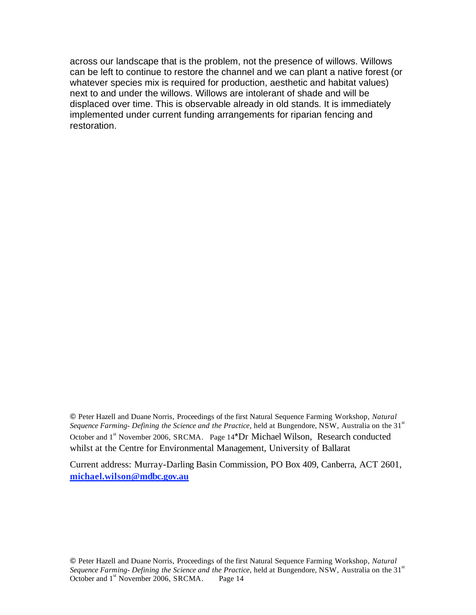across our landscape that is the problem, not the presence of willows. Willows can be left to continue to restore the channel and we can plant a native forest (or whatever species mix is required for production, aesthetic and habitat values) next to and under the willows. Willows are intolerant of shade and will be displaced over time. This is observable already in old stands. It is immediately implemented under current funding arrangements for riparian fencing and restoration.

 Peter Hazell and Duane Norris, Proceedings of the first Natural Sequence Farming Workshop, *Natural*  Sequence Farming- Defining the Science and the Practice, held at Bungendore, NSW, Australia on the 31<sup>st</sup> October and 1<sup>st</sup> November 2006, SRCMA. Page 14<sup>\*</sup>Dr Michael Wilson, Research conducted whilst at the Centre for Environmental Management, University of Ballarat

Current address: Murray-Darling Basin Commission, PO Box 409, Canberra, ACT 2601, **michael.wilson@mdbc.gov.au**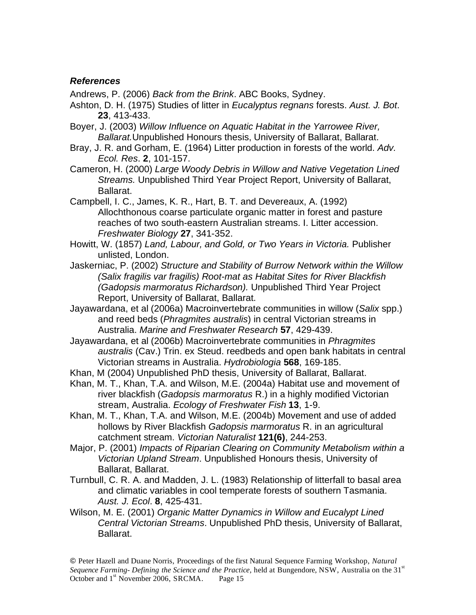#### *References*

Andrews, P. (2006) *Back from the Brink*. ABC Books, Sydney.

- Ashton, D. H. (1975) Studies of litter in *Eucalyptus regnans* forests. *Aust. J. Bot*. **23**, 413-433.
- Boyer, J. (2003) *Willow Influence on Aquatic Habitat in the Yarrowee River, Ballarat.*Unpublished Honours thesis, University of Ballarat, Ballarat.
- Bray, J. R. and Gorham, E. (1964) Litter production in forests of the world. *Adv. Ecol. Res*. **2**, 101-157.

Cameron, H. (2000) *Large Woody Debris in Willow and Native Vegetation Lined Streams.* Unpublished Third Year Project Report, University of Ballarat, Ballarat.

Campbell, I. C., James, K. R., Hart, B. T. and Devereaux, A. (1992) Allochthonous coarse particulate organic matter in forest and pasture reaches of two south-eastern Australian streams. I. Litter accession. *Freshwater Biology* **27**, 341-352.

Howitt, W. (1857) *Land, Labour, and Gold, or Two Years in Victoria.* Publisher unlisted, London.

Jaskerniac, P. (2002) *Structure and Stability of Burrow Network within the Willow (Salix fragilis var fragilis) Root-mat as Habitat Sites for River Blackfish (Gadopsis marmoratus Richardson).* Unpublished Third Year Project Report, University of Ballarat, Ballarat.

Jayawardana, et al (2006a) Macroinvertebrate communities in willow (*Salix* spp.) and reed beds (*Phragmites australis*) in central Victorian streams in Australia. *Marine and Freshwater Research* **57**, 429-439.

Jayawardana, et al (2006b) Macroinvertebrate communities in *Phragmites australis* (Cav.) Trin. ex Steud. reedbeds and open bank habitats in central Victorian streams in Australia. *Hydrobiologia* **568**, 169-185.

Khan, M (2004) Unpublished PhD thesis, University of Ballarat, Ballarat.

Khan, M. T., Khan, T.A. and Wilson, M.E. (2004a) Habitat use and movement of river blackfish (*Gadopsis marmoratus* R.) in a highly modified Victorian stream, Australia. *Ecology of Freshwater Fish* **13**, 1-9.

Khan, M. T., Khan, T.A. and Wilson, M.E. (2004b) Movement and use of added hollows by River Blackfish *Gadopsis marmoratus* R. in an agricultural catchment stream. *Victorian Naturalist* **121(6)**, 244-253.

Major, P. (2001) *Impacts of Riparian Clearing on Community Metabolism within a Victorian Upland Stream*. Unpublished Honours thesis, University of Ballarat, Ballarat.

Turnbull, C. R. A. and Madden, J. L. (1983) Relationship of litterfall to basal area and climatic variables in cool temperate forests of southern Tasmania. *Aust. J. Ecol*. **8**, 425-431.

Wilson, M. E. (2001) *Organic Matter Dynamics in Willow and Eucalypt Lined Central Victorian Streams*. Unpublished PhD thesis, University of Ballarat, Ballarat.